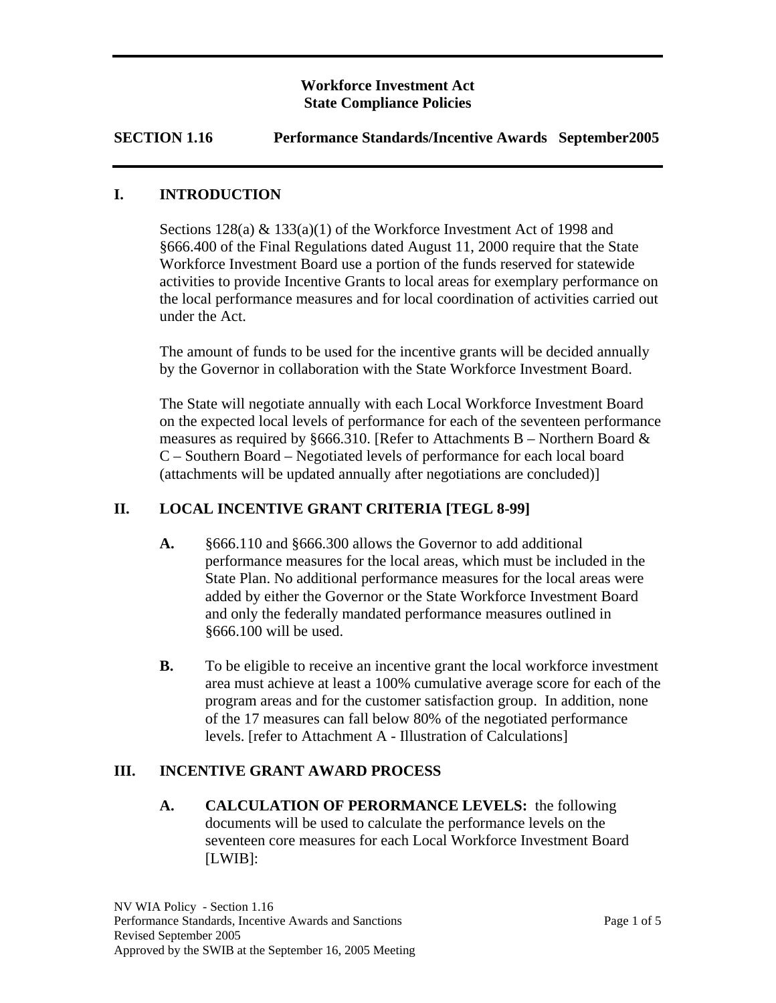## **Workforce Investment Act State Compliance Policies**

## **SECTION 1.16 Performance Standards/Incentive Awards September2005**

### **I. INTRODUCTION**

Sections  $128(a)$  &  $133(a)(1)$  of the Workforce Investment Act of 1998 and §666.400 of the Final Regulations dated August 11, 2000 require that the State Workforce Investment Board use a portion of the funds reserved for statewide activities to provide Incentive Grants to local areas for exemplary performance on the local performance measures and for local coordination of activities carried out under the Act.

The amount of funds to be used for the incentive grants will be decided annually by the Governor in collaboration with the State Workforce Investment Board.

The State will negotiate annually with each Local Workforce Investment Board on the expected local levels of performance for each of the seventeen performance measures as required by §666.310. [Refer to Attachments B – Northern Board  $\&$ C – Southern Board – Negotiated levels of performance for each local board (attachments will be updated annually after negotiations are concluded)]

## **II. LOCAL INCENTIVE GRANT CRITERIA [TEGL 8-99]**

- **A.** §666.110 and §666.300 allows the Governor to add additional performance measures for the local areas, which must be included in the State Plan. No additional performance measures for the local areas were added by either the Governor or the State Workforce Investment Board and only the federally mandated performance measures outlined in §666.100 will be used.
- **B.** To be eligible to receive an incentive grant the local workforce investment area must achieve at least a 100% cumulative average score for each of the program areas and for the customer satisfaction group. In addition, none of the 17 measures can fall below 80% of the negotiated performance levels. [refer to Attachment A - Illustration of Calculations]

## **III. INCENTIVE GRANT AWARD PROCESS**

**A. CALCULATION OF PERORMANCE LEVELS:** the following documents will be used to calculate the performance levels on the seventeen core measures for each Local Workforce Investment Board [LWIB]: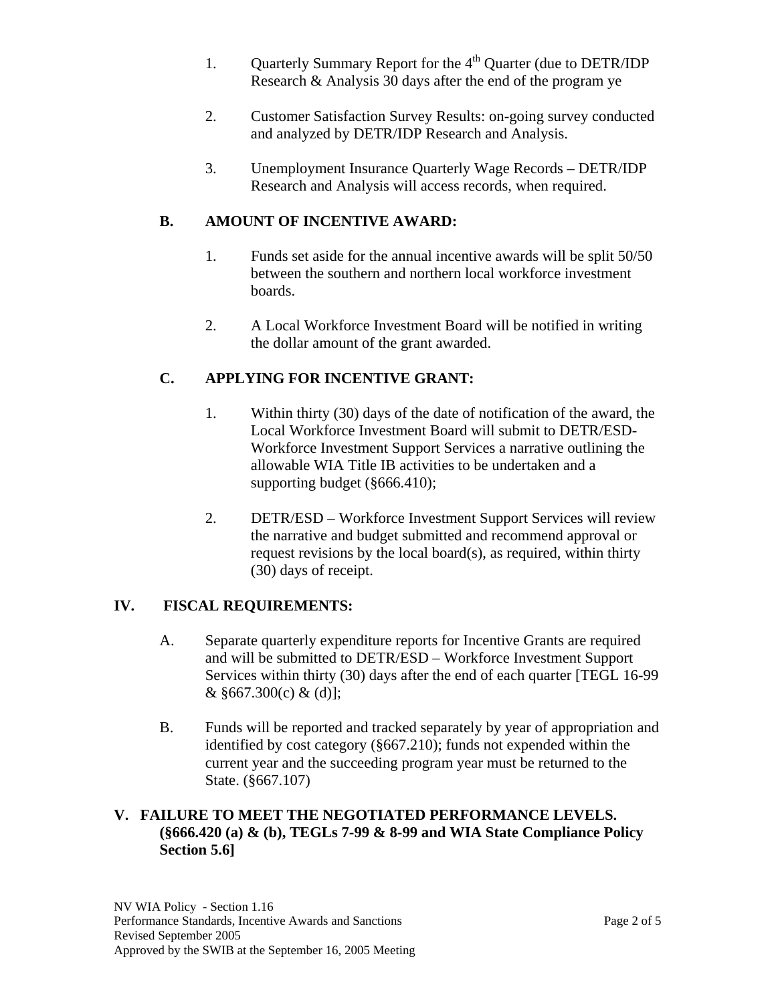- 1. Ouarterly Summary Report for the  $4<sup>th</sup>$  Quarter (due to DETR/IDP Research & Analysis 30 days after the end of the program ye
- 2. Customer Satisfaction Survey Results: on-going survey conducted and analyzed by DETR/IDP Research and Analysis.
- 3. Unemployment Insurance Quarterly Wage Records DETR/IDP Research and Analysis will access records, when required.

# **B. AMOUNT OF INCENTIVE AWARD:**

- 1. Funds set aside for the annual incentive awards will be split 50/50 between the southern and northern local workforce investment boards.
- 2. A Local Workforce Investment Board will be notified in writing the dollar amount of the grant awarded.

# **C. APPLYING FOR INCENTIVE GRANT:**

- 1. Within thirty (30) days of the date of notification of the award, the Local Workforce Investment Board will submit to DETR/ESD-Workforce Investment Support Services a narrative outlining the allowable WIA Title IB activities to be undertaken and a supporting budget (§666.410);
- 2. DETR/ESD Workforce Investment Support Services will review the narrative and budget submitted and recommend approval or request revisions by the local board(s), as required, within thirty (30) days of receipt.

# **IV. FISCAL REQUIREMENTS:**

- A. Separate quarterly expenditure reports for Incentive Grants are required and will be submitted to DETR/ESD – Workforce Investment Support Services within thirty (30) days after the end of each quarter [TEGL 16-99  $&$  §667.300(c)  $&$  (d)];
- B. Funds will be reported and tracked separately by year of appropriation and identified by cost category (§667.210); funds not expended within the current year and the succeeding program year must be returned to the State. (§667.107)

## **V. FAILURE TO MEET THE NEGOTIATED PERFORMANCE LEVELS. (§666.420 (a) & (b), TEGLs 7-99 & 8-99 and WIA State Compliance Policy Section 5.6]**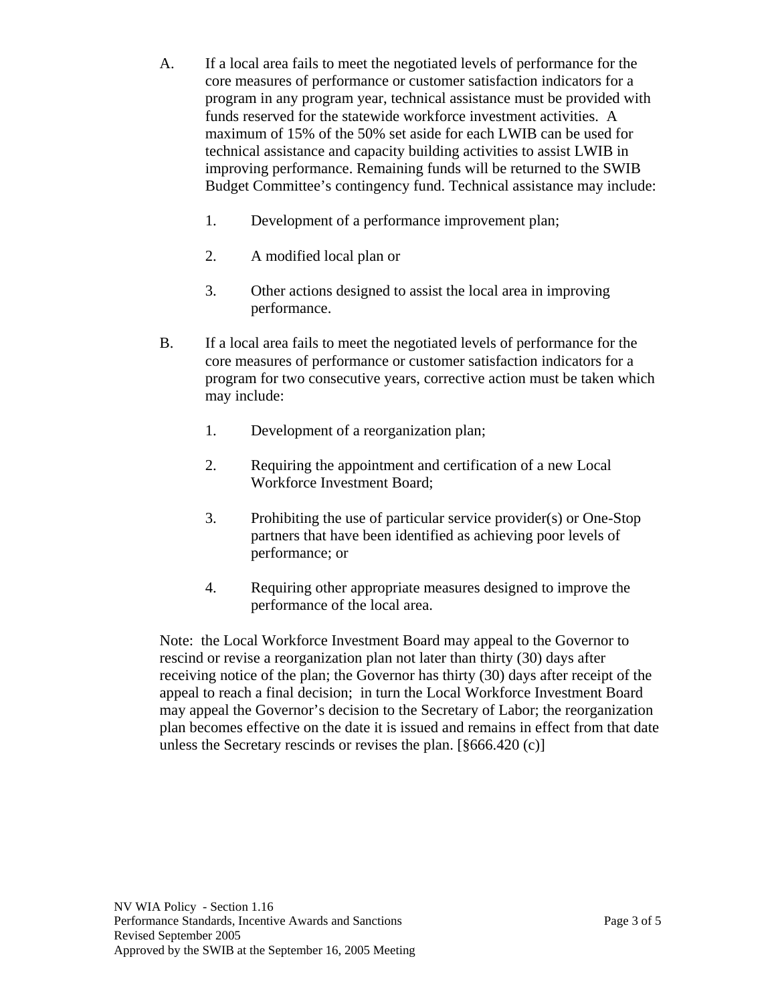- A. If a local area fails to meet the negotiated levels of performance for the core measures of performance or customer satisfaction indicators for a program in any program year, technical assistance must be provided with funds reserved for the statewide workforce investment activities. A maximum of 15% of the 50% set aside for each LWIB can be used for technical assistance and capacity building activities to assist LWIB in improving performance. Remaining funds will be returned to the SWIB Budget Committee's contingency fund. Technical assistance may include:
	- 1. Development of a performance improvement plan;
	- 2. A modified local plan or
	- 3. Other actions designed to assist the local area in improving performance.
- B. If a local area fails to meet the negotiated levels of performance for the core measures of performance or customer satisfaction indicators for a program for two consecutive years, corrective action must be taken which may include:
	- 1. Development of a reorganization plan;
	- 2. Requiring the appointment and certification of a new Local Workforce Investment Board;
	- 3. Prohibiting the use of particular service provider(s) or One-Stop partners that have been identified as achieving poor levels of performance; or
	- 4. Requiring other appropriate measures designed to improve the performance of the local area.

Note: the Local Workforce Investment Board may appeal to the Governor to rescind or revise a reorganization plan not later than thirty (30) days after receiving notice of the plan; the Governor has thirty (30) days after receipt of the appeal to reach a final decision; in turn the Local Workforce Investment Board may appeal the Governor's decision to the Secretary of Labor; the reorganization plan becomes effective on the date it is issued and remains in effect from that date unless the Secretary rescinds or revises the plan. [§666.420 (c)]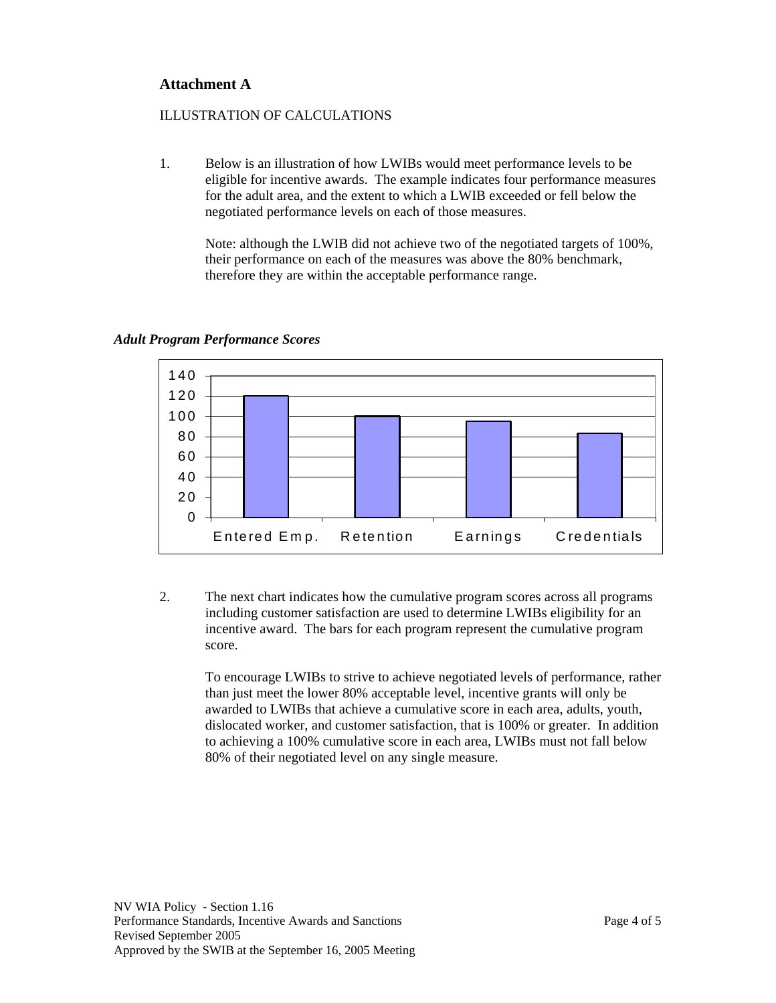## **Attachment A**

### ILLUSTRATION OF CALCULATIONS

1. Below is an illustration of how LWIBs would meet performance levels to be eligible for incentive awards. The example indicates four performance measures for the adult area, and the extent to which a LWIB exceeded or fell below the negotiated performance levels on each of those measures.

Note: although the LWIB did not achieve two of the negotiated targets of 100%, their performance on each of the measures was above the 80% benchmark, therefore they are within the acceptable performance range.



#### *Adult Program Performance Scores*

2. The next chart indicates how the cumulative program scores across all programs including customer satisfaction are used to determine LWIBs eligibility for an incentive award. The bars for each program represent the cumulative program score.

To encourage LWIBs to strive to achieve negotiated levels of performance, rather than just meet the lower 80% acceptable level, incentive grants will only be awarded to LWIBs that achieve a cumulative score in each area, adults, youth, dislocated worker, and customer satisfaction, that is 100% or greater. In addition to achieving a 100% cumulative score in each area, LWIBs must not fall below 80% of their negotiated level on any single measure.